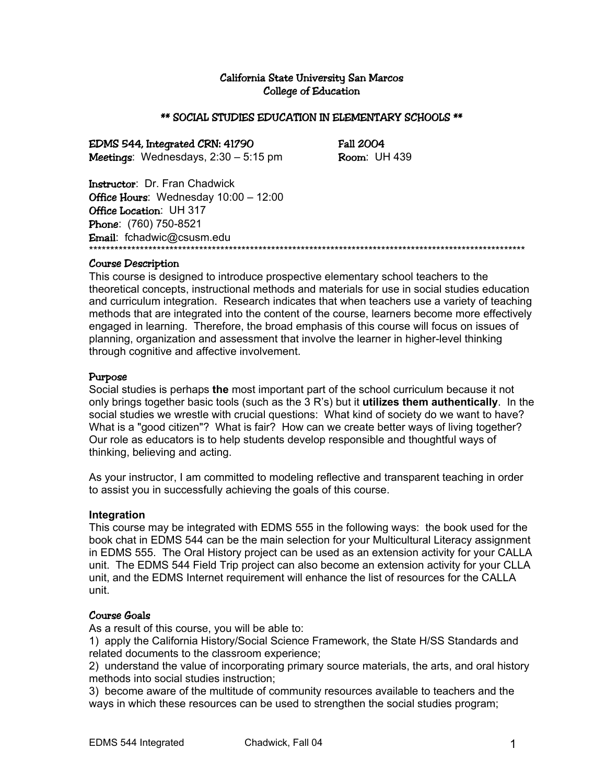## California State University San Marcos College of Education

#### \*\* SOCIAL STUDIES EDUCATION IN ELEMENTARY SCHOOLS \*\*

EDMS 544, Integrated CRN: 41790 Fall 2004 **Meetings:** Wednesdays,  $2:30 - 5:15$  pm **Room:** UH 439

Instructor: Dr. Fran Chadwick Office Hours: Wednesday 10:00 - 12:00 Office Location: UH 317 Phone: (760) 750-8521 Email: fchadwic@csusm.edu<br>\*\*\*\*\*\*\*\*\*\*\*\*\*\*\*\*\*\*\*\*\*\*\*\*\*\*\*\*\*\*\*\*\*\*\* \*\*\*\*\*\*\*\*\*\*\*\*\*\*\*\*\*\*\*\*\*\*\*\*\*\*\*\*\*\*\*\*\*\*\*\*\*\*\*\*\*\*\*\*\*\*\*\*\*\*\*\*\*\*\*\*\*\*\*\*\*\*\*\*\*\*\*\*\*\*\*\*\*\*\*\*\*\*\*\*\*\*\*\*\*\*\*\*\*\*\*\*\*\*\*\*\*\*\*\*\*\*\*

#### Course Description

This course is designed to introduce prospective elementary school teachers to the theoretical concepts, instructional methods and materials for use in social studies education and curriculum integration. Research indicates that when teachers use a variety of teaching methods that are integrated into the content of the course, learners become more effectively engaged in learning. Therefore, the broad emphasis of this course will focus on issues of planning, organization and assessment that involve the learner in higher-level thinking through cognitive and affective involvement.

#### Purpose

Social studies is perhaps **the** most important part of the school curriculum because it not only brings together basic tools (such as the 3 R's) but it **utilizes them authentically**. In the social studies we wrestle with crucial questions: What kind of society do we want to have? What is a "good citizen"? What is fair? How can we create better ways of living together? Our role as educators is to help students develop responsible and thoughtful ways of thinking, believing and acting.

As your instructor, I am committed to modeling reflective and transparent teaching in order to assist you in successfully achieving the goals of this course.

#### **Integration**

This course may be integrated with EDMS 555 in the following ways: the book used for the book chat in EDMS 544 can be the main selection for your Multicultural Literacy assignment in EDMS 555. The Oral History project can be used as an extension activity for your CALLA unit. The EDMS 544 Field Trip project can also become an extension activity for your CLLA unit, and the EDMS Internet requirement will enhance the list of resources for the CALLA unit.

## Course Goals

As a result of this course, you will be able to:

1) apply the California History/Social Science Framework, the State H/SS Standards and related documents to the classroom experience;

2) understand the value of incorporating primary source materials, the arts, and oral history methods into social studies instruction;

3) become aware of the multitude of community resources available to teachers and the ways in which these resources can be used to strengthen the social studies program;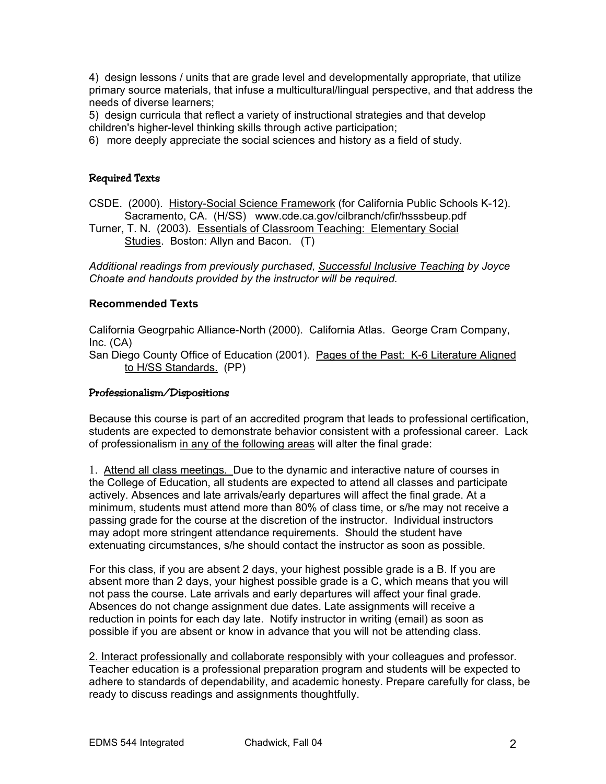4) design lessons / units that are grade level and developmentally appropriate, that utilize primary source materials, that infuse a multicultural/lingual perspective, and that address the needs of diverse learners;

5) design curricula that reflect a variety of instructional strategies and that develop

children's higher-level thinking skills through active participation;

6) more deeply appreciate the social sciences and history as a field of study.

## Required Texts

CSDE. (2000). History-Social Science Framework (for California Public Schools K-12). Sacramento, CA. (H/SS) www.cde.ca.gov/cilbranch/cfir/hsssbeup.pdf

Turner, T. N. (2003). Essentials of Classroom Teaching: Elementary Social Studies. Boston: Allyn and Bacon. (T)

*Additional readings from previously purchased, Successful Inclusive Teaching by Joyce Choate and handouts provided by the instructor will be required.* 

## **Recommended Texts**

California Geogrpahic Alliance-North (2000). California Atlas. George Cram Company, Inc. (CA)

San Diego County Office of Education (2001). Pages of the Past: K-6 Literature Aligned to H/SS Standards. (PP)

### Professionalism/Dispositions

Because this course is part of an accredited program that leads to professional certification, students are expected to demonstrate behavior consistent with a professional career. Lack of professionalism in any of the following areas will alter the final grade:

1. Attend all class meetings. Due to the dynamic and interactive nature of courses in the College of Education, all students are expected to attend all classes and participate actively. Absences and late arrivals/early departures will affect the final grade. At a minimum, students must attend more than 80% of class time, or s/he may not receive a passing grade for the course at the discretion of the instructor. Individual instructors may adopt more stringent attendance requirements. Should the student have extenuating circumstances, s/he should contact the instructor as soon as possible.

For this class, if you are absent 2 days, your highest possible grade is a B. If you are absent more than 2 days, your highest possible grade is a C, which means that you will not pass the course. Late arrivals and early departures will affect your final grade. Absences do not change assignment due dates. Late assignments will receive a reduction in points for each day late. Notify instructor in writing (email) as soon as possible if you are absent or know in advance that you will not be attending class.

2. Interact professionally and collaborate responsibly with your colleagues and professor. Teacher education is a professional preparation program and students will be expected to adhere to standards of dependability, and academic honesty. Prepare carefully for class, be ready to discuss readings and assignments thoughtfully.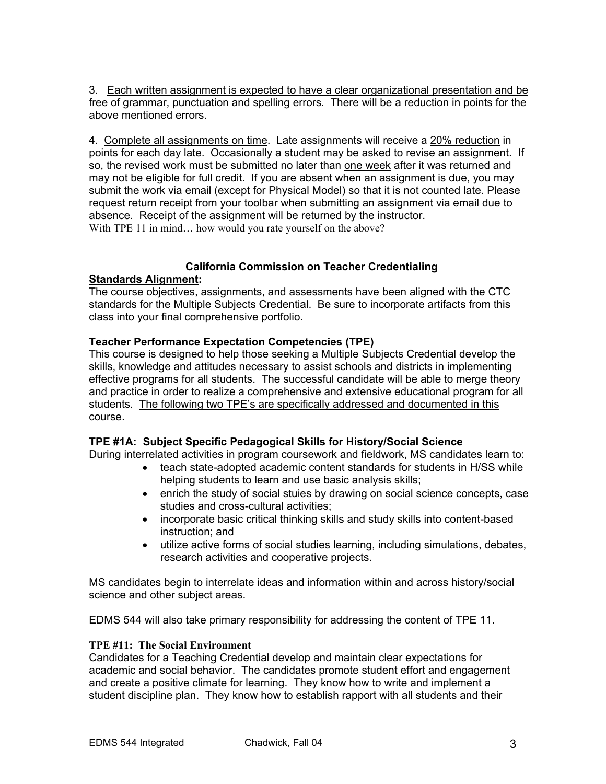3. Each written assignment is expected to have a clear organizational presentation and be free of grammar, punctuation and spelling errors. There will be a reduction in points for the above mentioned errors.

4. Complete all assignments on time. Late assignments will receive a 20% reduction in points for each day late. Occasionally a student may be asked to revise an assignment. If so, the revised work must be submitted no later than one week after it was returned and may not be eligible for full credit. If you are absent when an assignment is due, you may submit the work via email (except for Physical Model) so that it is not counted late. Please request return receipt from your toolbar when submitting an assignment via email due to absence. Receipt of the assignment will be returned by the instructor. With TPE 11 in mind... how would you rate yourself on the above?

## **California Commission on Teacher Credentialing**

## **Standards Alignment:**

The course objectives, assignments, and assessments have been aligned with the CTC standards for the Multiple Subjects Credential. Be sure to incorporate artifacts from this class into your final comprehensive portfolio.

# **Teacher Performance Expectation Competencies (TPE)**

This course is designed to help those seeking a Multiple Subjects Credential develop the skills, knowledge and attitudes necessary to assist schools and districts in implementing effective programs for all students. The successful candidate will be able to merge theory and practice in order to realize a comprehensive and extensive educational program for all students. The following two TPE's are specifically addressed and documented in this course.

# **TPE #1A: Subject Specific Pedagogical Skills for History/Social Science**

During interrelated activities in program coursework and fieldwork, MS candidates learn to:

- teach state-adopted academic content standards for students in H/SS while helping students to learn and use basic analysis skills;
- enrich the study of social stuies by drawing on social science concepts, case studies and cross-cultural activities;
- incorporate basic critical thinking skills and study skills into content-based instruction; and
- utilize active forms of social studies learning, including simulations, debates, research activities and cooperative projects.

MS candidates begin to interrelate ideas and information within and across history/social science and other subject areas.

EDMS 544 will also take primary responsibility for addressing the content of TPE 11.

## **TPE #11: The Social Environment**

Candidates for a Teaching Credential develop and maintain clear expectations for academic and social behavior. The candidates promote student effort and engagement and create a positive climate for learning. They know how to write and implement a student discipline plan. They know how to establish rapport with all students and their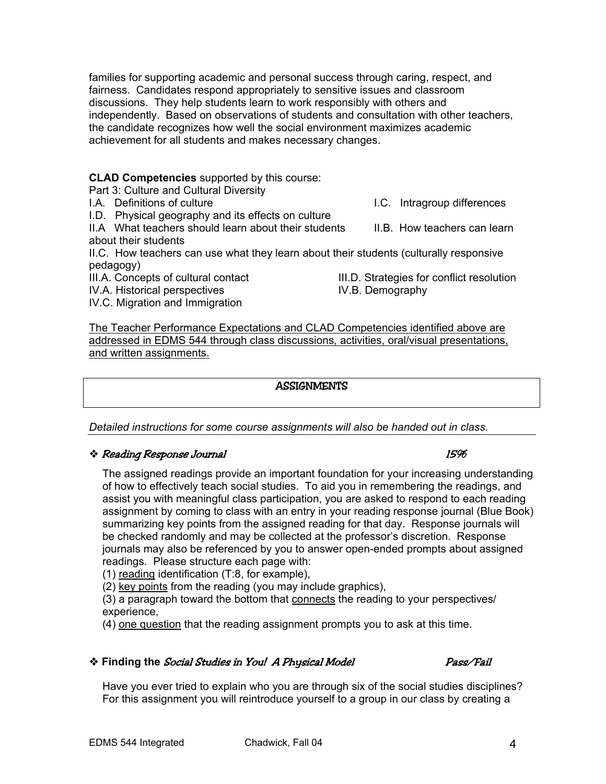families for supporting academic and personal success through caring, respect, and fairness. Candidates respond appropriately to sensitive issues and classroom discussions. They help students learn to work responsibly with others and independently. Based on observations of students and consultation with other teachers, the candidate recognizes how well the social environment maximizes academic achievement for all students and makes necessary changes.

**CLAD Competencies** supported by this course:

Part 3: Culture and Cultural Diversity

I.A. Definitions of culture I.C. Intragroup differences

I.D. Physical geography and its effects on culture

II.A What teachers should learn about their students II.B. How teachers can learn about their students

II.C. How teachers can use what they learn about their students (culturally responsive pedagogy)

- III.A. Concepts of cultural contact III.D. Strategies for conflict resolution
- IV.A. Historical perspectives **IV.B. Demography**
- IV.C. Migration and Immigration

The Teacher Performance Expectations and CLAD Competencies identified above are addressed in EDMS 544 through class discussions, activities, oral/visual presentations, and written assignments.

#### ASSIGNMENTS

*Detailed instructions for some course assignments will also be handed out in class.* 

### $\clubsuit$  Reading Response Journal 15% and 15% and 15% and 15% and 15% and 15% and 15% and 15% and 15% and 15% and 15% and 15% and 15% and 15% and 15% and 15% and 15% and 15% and 15% and 15% and 15% and 15% and 15% and 15% and

The assigned readings provide an important foundation for your increasing understanding of how to effectively teach social studies. To aid you in remembering the readings, and assist you with meaningful class participation, you are asked to respond to each reading assignment by coming to class with an entry in your reading response journal (Blue Book) summarizing key points from the assigned reading for that day. Response journals will be checked randomly and may be collected at the professor's discretion. Response journals may also be referenced by you to answer open-ended prompts about assigned readings. Please structure each page with:

(1) reading identification (T:8, for example),

(2) key points from the reading (you may include graphics),

(3) a paragraph toward the bottom that connects the reading to your perspectives/ experience,

(4) one question that the reading assignment prompts you to ask at this time.

### **\*** Finding the *Social Studies in You! A Physical Model* Pass/Fail

Have you ever tried to explain who you are through six of the social studies disciplines? For this assignment you will reintroduce yourself to a group in our class by creating a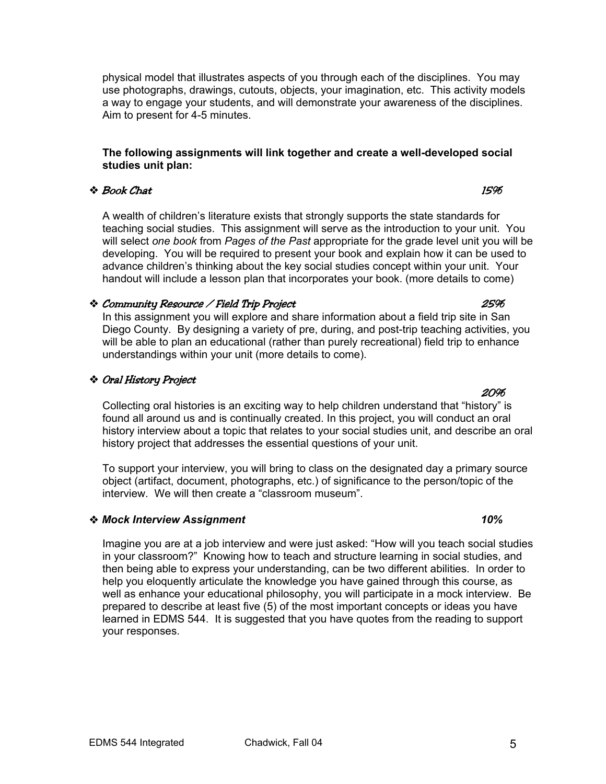physical model that illustrates aspects of you through each of the disciplines. You may use photographs, drawings, cutouts, objects, your imagination, etc. This activity models a way to engage your students, and will demonstrate your awareness of the disciplines. Aim to present for 4-5 minutes.

### **The following assignments will link together and create a well-developed social studies unit plan:**

## $\bullet$  Book Chat  $\bullet$  15%

A wealth of children's literature exists that strongly supports the state standards for teaching social studies. This assignment will serve as the introduction to your unit. You will select *one book* from *Pages of the Past* appropriate for the grade level unit you will be developing. You will be required to present your book and explain how it can be used to advance children's thinking about the key social studies concept within your unit. Your handout will include a lesson plan that incorporates your book. (more details to come)

## Community Resource / Field Trip Project 25%

In this assignment you will explore and share information about a field trip site in San Diego County. By designing a variety of pre, during, and post-trip teaching activities, you will be able to plan an educational (rather than purely recreational) field trip to enhance understandings within your unit (more details to come).

# Oral History Project

Collecting oral histories is an exciting way to help children understand that "history" is found all around us and is continually created. In this project, you will conduct an oral history interview about a topic that relates to your social studies unit, and describe an oral history project that addresses the essential questions of your unit.

<u>20% - 20% - 20% - 20% - 20% - 20% - 20% - 20% - 20% - 20% - 20% - 20% - 20% - 20% - 20% - 20% - 20% - 20% - 2</u>

To support your interview, you will bring to class on the designated day a primary source object (artifact, document, photographs, etc.) of significance to the person/topic of the interview. We will then create a "classroom museum".

## *Mock Interview Assignment 10%*

Imagine you are at a job interview and were just asked: "How will you teach social studies in your classroom?" Knowing how to teach and structure learning in social studies, and then being able to express your understanding, can be two different abilities. In order to help you eloquently articulate the knowledge you have gained through this course, as well as enhance your educational philosophy, you will participate in a mock interview. Be prepared to describe at least five (5) of the most important concepts or ideas you have learned in EDMS 544. It is suggested that you have quotes from the reading to support your responses.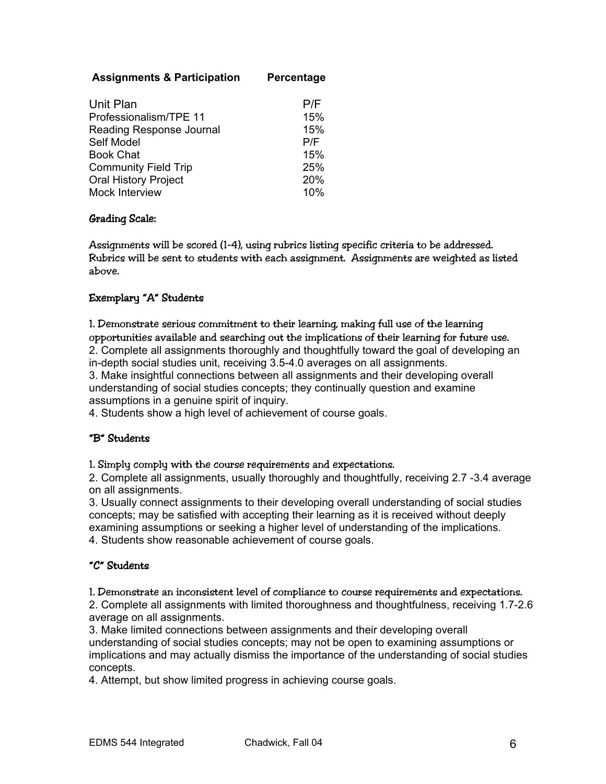# **Assignments & Participation Percentage**

| Unit Plan                   | P/F |
|-----------------------------|-----|
| Professionalism/TPE 11      | 15% |
| Reading Response Journal    | 15% |
| Self Model                  | P/F |
| <b>Book Chat</b>            | 15% |
| <b>Community Field Trip</b> | 25% |
| <b>Oral History Project</b> | 20% |
| Mock Interview              | 10% |

## Grading Scale:

Assignments will be scored (1-4), using rubrics listing specific criteria to be addressed. Rubrics will be sent to students with each assignment. Assignments are weighted as listed above.

## Exemplary "A" Students

1. Demonstrate serious commitment to their learning, making full use of the learning opportunities available and searching out the implications of their learning for future use. 2. Complete all assignments thoroughly and thoughtfully toward the goal of developing an in-depth social studies unit, receiving 3.5-4.0 averages on all assignments.

3. Make insightful connections between all assignments and their developing overall understanding of social studies concepts; they continually question and examine assumptions in a genuine spirit of inquiry.

4. Students show a high level of achievement of course goals.

# "B" Students

1. Simply comply with the course requirements and expectations.

2. Complete all assignments, usually thoroughly and thoughtfully, receiving 2.7 -3.4 average on all assignments.

3. Usually connect assignments to their developing overall understanding of social studies concepts; may be satisfied with accepting their learning as it is received without deeply examining assumptions or seeking a higher level of understanding of the implications. 4. Students show reasonable achievement of course goals.

## "C" Students

1. Demonstrate an inconsistent level of compliance to course requirements and expectations.

2. Complete all assignments with limited thoroughness and thoughtfulness, receiving 1.7-2.6 average on all assignments.

3. Make limited connections between assignments and their developing overall understanding of social studies concepts; may not be open to examining assumptions or implications and may actually dismiss the importance of the understanding of social studies concepts.

4. Attempt, but show limited progress in achieving course goals.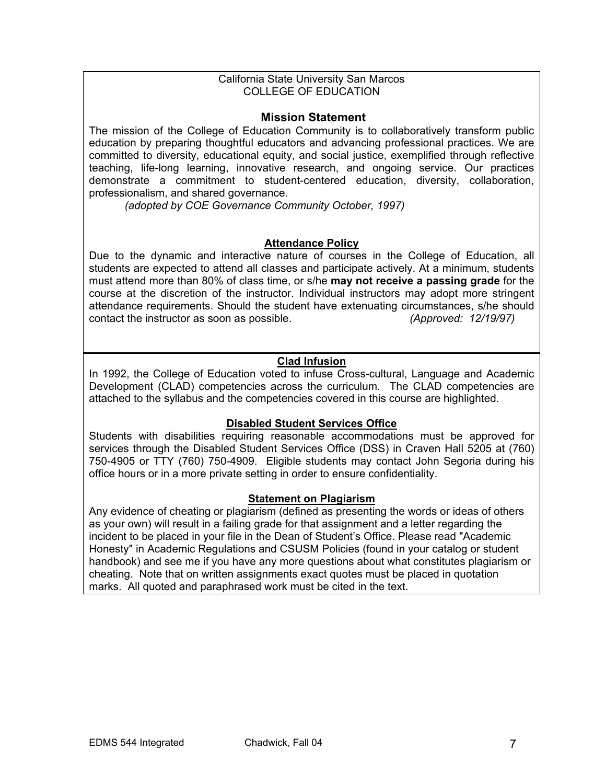### California State University San Marcos COLLEGE OF EDUCATION

### **Mission Statement**

The mission of the College of Education Community is to collaboratively transform public education by preparing thoughtful educators and advancing professional practices. We are committed to diversity, educational equity, and social justice, exemplified through reflective teaching, life-long learning, innovative research, and ongoing service. Our practices demonstrate a commitment to student-centered education, diversity, collaboration, professionalism, and shared governance.

*(adopted by COE Governance Community October, 1997)*

### **Attendance Policy**

Due to the dynamic and interactive nature of courses in the College of Education, all students are expected to attend all classes and participate actively. At a minimum, students must attend more than 80% of class time, or s/he **may not receive a passing grade** for the course at the discretion of the instructor. Individual instructors may adopt more stringent attendance requirements. Should the student have extenuating circumstances, s/he should contact the instructor as soon as possible. *(Approved: 12/19/97)* 

## **Clad Infusion**

In 1992, the College of Education voted to infuse Cross-cultural, Language and Academic Development (CLAD) competencies across the curriculum. The CLAD competencies are attached to the syllabus and the competencies covered in this course are highlighted.

### **Disabled Student Services Office**

Students with disabilities requiring reasonable accommodations must be approved for services through the Disabled Student Services Office (DSS) in Craven Hall 5205 at (760) 750-4905 or TTY (760) 750-4909. Eligible students may contact John Segoria during his office hours or in a more private setting in order to ensure confidentiality.

### **Statement on Plagiarism**

Any evidence of cheating or plagiarism (defined as presenting the words or ideas of others as your own) will result in a failing grade for that assignment and a letter regarding the incident to be placed in your file in the Dean of Student's Office. Please read "Academic Honesty" in Academic Regulations and CSUSM Policies (found in your catalog or student handbook) and see me if you have any more questions about what constitutes plagiarism or cheating. Note that on written assignments exact quotes must be placed in quotation marks. All quoted and paraphrased work must be cited in the text.